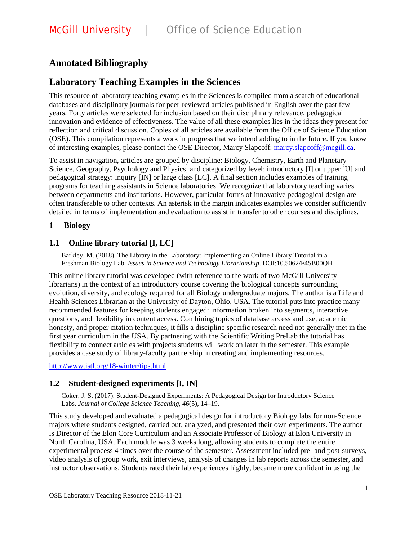# **Annotated Bibliography**

## **Laboratory Teaching Examples in the Sciences**

This resource of laboratory teaching examples in the Sciences is compiled from a search of educational databases and disciplinary journals for peer-reviewed articles published in English over the past few years. Forty articles were selected for inclusion based on their disciplinary relevance, pedagogical innovation and evidence of effectiveness. The value of all these examples lies in the ideas they present for reflection and critical discussion. Copies of all articles are available from the Office of Science Education (OSE). This compilation represents a work in progress that we intend adding to in the future. If you know of interesting examples, please contact the OSE Director, Marcy Slapcoff: [marcy.slapcoff@mcgill.ca.](mailto:marcy.slapcoff@mcgill.ca)

To assist in navigation, articles are grouped by discipline: Biology, Chemistry, Earth and Planetary Science, Geography, Psychology and Physics, and categorized by level: introductory [I] or upper [U] and pedagogical strategy: inquiry [IN] or large class [LC]. A final section includes examples of training programs for teaching assistants in Science laboratories. We recognize that laboratory teaching varies between departments and institutions. However, particular forms of innovative pedagogical design are often transferable to other contexts. An asterisk in the margin indicates examples we consider sufficiently detailed in terms of implementation and evaluation to assist in transfer to other courses and disciplines.

#### **1 Biology**

### **1.1 Online library tutorial [I, LC]**

Barkley, M. (2018). The Library in the Laboratory: Implementing an Online Library Tutorial in a Freshman Biology Lab. *Issues in Science and Technology Librarianship*. DOI:10.5062/F45B00QH

This online library tutorial was developed (with reference to the work of two McGill University librarians) in the context of an introductory course covering the biological concepts surrounding evolution, diversity, and ecology required for all Biology undergraduate majors. The author is a Life and Health Sciences Librarian at the University of Dayton, Ohio, USA. The tutorial puts into practice many recommended features for keeping students engaged: information broken into segments, interactive questions, and flexibility in content access. Combining topics of database access and use, academic honesty, and proper citation techniques, it fills a discipline specific research need not generally met in the first year curriculum in the USA. By partnering with the Scientific Writing PreLab the tutorial has flexibility to connect articles with projects students will work on later in the semester. This example provides a case study of library-faculty partnership in creating and implementing resources.

<http://www.istl.org/18-winter/tips.html>

### **1.2 Student-designed experiments [I, IN]**

Coker, J. S. (2017). Student-Designed Experiments: A Pedagogical Design for Introductory Science Labs. *Journal of College Science Teaching*, *46*(5), 14–19.

This study developed and evaluated a pedagogical design for introductory Biology labs for non-Science majors where students designed, carried out, analyzed, and presented their own experiments. The author is Director of the Elon Core Curriculum and an Associate Professor of Biology at Elon University in North Carolina, USA. Each module was 3 weeks long, allowing students to complete the entire experimental process 4 times over the course of the semester. Assessment included pre- and post-surveys, video analysis of group work, exit interviews, analysis of changes in lab reports across the semester, and instructor observations. Students rated their lab experiences highly, became more confident in using the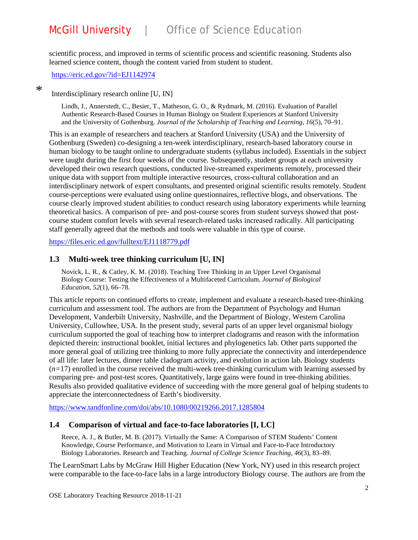scientific process, and improved in terms of scientific process and scientific reasoning. Students also learned science content, though the content varied from student to student.

<https://eric.ed.gov/?id=EJ1142974>

\*

Interdisciplinary research online [U, IN]

Lindh, J., Annerstedt, C., Besier, T., Matheson, G. O., & Rydmark, M. (2016). Evaluation of Parallel Authentic Research-Based Courses in Human Biology on Student Experiences at Stanford University and the University of Gothenburg. *Journal of the Scholarship of Teaching and Learning*, *16*(5), 70–91.

This is an example of researchers and teachers at Stanford University (USA) and the University of Gothenburg (Sweden) co-designing a ten-week interdisciplinary, research-based laboratory course in human biology to be taught online to undergraduate students (syllabus included). Essentials in the subject were taught during the first four weeks of the course. Subsequently, student groups at each university developed their own research questions, conducted live-streamed experiments remotely, processed their unique data with support from multiple interactive resources, cross-cultural collaboration and an interdisciplinary network of expert consultants, and presented original scientific results remotely. Student course-perceptions were evaluated using online questionnaires, reflective blogs, and observations. The course clearly improved student abilities to conduct research using laboratory experiments while learning theoretical basics. A comparison of pre- and post-course scores from student surveys showed that postcourse student comfort levels with several research-related tasks increased radically. All participating staff generally agreed that the methods and tools were valuable in this type of course.

<https://files.eric.ed.gov/fulltext/EJ1118779.pdf>

#### **1.3 Multi-week tree thinking curriculum [U, IN]**

Novick, L. R., & Catley, K. M. (2018). Teaching Tree Thinking in an Upper Level Organismal Biology Course: Testing the Effectiveness of a Multifaceted Curriculum. *Journal of Biological Education*, *52*(1), 66–78.

This article reports on continued efforts to create, implement and evaluate a research-based tree-thinking curriculum and assessment tool. The authors are from the Department of Psychology and Human Development, Vanderbilt University, Nashville, and the Department of Biology, Western Carolina University, Cullowhee, USA. In the present study, several parts of an upper level organismal biology curriculum supported the goal of teaching how to interpret cladograms and reason with the information depicted therein: instructional booklet, initial lectures and phylogenetics lab. Other parts supported the more general goal of utilizing tree thinking to more fully appreciate the connectivity and interdependence of all life: later lectures, dinner table cladogram activity, and evolution in action lab. Biology students  $(n=17)$  enrolled in the course received the multi-week tree-thinking curriculum with learning assessed by comparing pre- and post-test scores. Quantitatively, large gains were found in tree-thinking abilities. Results also provided qualitative evidence of succeeding with the more general goal of helping students to appreciate the interconnectedness of Earth's biodiversity.

<https://www.tandfonline.com/doi/abs/10.1080/00219266.2017.1285804>

#### **1.4 Comparison of virtual and face-to-face laboratories [I, LC]**

Reece, A. J., & Butler, M. B. (2017). Virtually the Same: A Comparison of STEM Students' Content Knowledge, Course Performance, and Motivation to Learn in Virtual and Face-to-Face Introductory Biology Laboratories. Research and Teaching. *Journal of College Science Teaching*, *46*(3), 83–89.

The LearnSmart Labs by McGraw Hill Higher Education (New York, NY) used in this research project were comparable to the face-to-face labs in a large introductory Biology course. The authors are from the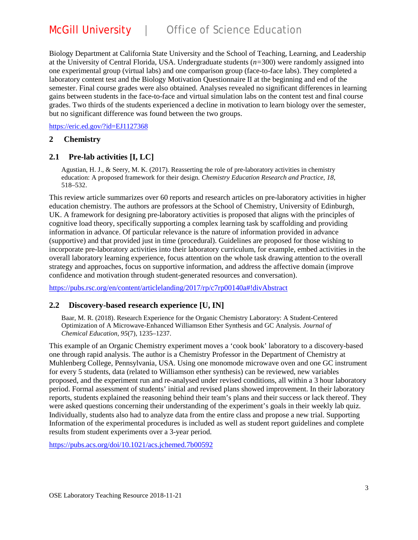Biology Department at California State University and the School of Teaching, Learning, and Leadership at the University of Central Florida, USA. Undergraduate students (*n=*300) were randomly assigned into one experimental group (virtual labs) and one comparison group (face-to-face labs). They completed a laboratory content test and the Biology Motivation Questionnaire II at the beginning and end of the semester. Final course grades were also obtained. Analyses revealed no significant differences in learning gains between students in the face-to-face and virtual simulation labs on the content test and final course grades. Two thirds of the students experienced a decline in motivation to learn biology over the semester, but no significant difference was found between the two groups.

<https://eric.ed.gov/?id=EJ1127368>

#### **2 Chemistry**

#### **2.1 Pre-lab activities [I, LC]**

Agustian, H. J., & Seery, M. K. (2017). Reasserting the role of pre-laboratory activities in chemistry education: A proposed framework for their design. *Chemistry Education Research and Practice*, *18*, 518–532.

This review article summarizes over 60 reports and research articles on pre-laboratory activities in higher education chemistry. The authors are professors at the School of Chemistry, University of Edinburgh, UK. A framework for designing pre-laboratory activities is proposed that aligns with the principles of cognitive load theory, specifically supporting a complex learning task by scaffolding and providing information in advance. Of particular relevance is the nature of information provided in advance (supportive) and that provided just in time (procedural). Guidelines are proposed for those wishing to incorporate pre-laboratory activities into their laboratory curriculum, for example, embed activities in the overall laboratory learning experience, focus attention on the whole task drawing attention to the overall strategy and approaches, focus on supportive information, and address the affective domain (improve confidence and motivation through student-generated resources and conversation).

<https://pubs.rsc.org/en/content/articlelanding/2017/rp/c7rp00140a#!divAbstract>

#### **2.2 Discovery-based research experience [U, IN]**

Baar, M. R. (2018). Research Experience for the Organic Chemistry Laboratory: A Student-Centered Optimization of A Microwave-Enhanced Williamson Ether Synthesis and GC Analysis. *Journal of Chemical Education*, *95*(7), 1235–1237.

This example of an Organic Chemistry experiment moves a 'cook book' laboratory to a discovery-based one through rapid analysis. The author is a Chemistry Professor in the Department of Chemistry at Muhlenberg College, Pennsylvania, USA. Using one monomode microwave oven and one GC instrument for every 5 students, data (related to Williamson ether synthesis) can be reviewed, new variables proposed, and the experiment run and re-analysed under revised conditions, all within a 3 hour laboratory period. Formal assessment of students' initial and revised plans showed improvement. In their laboratory reports, students explained the reasoning behind their team's plans and their success or lack thereof. They were asked questions concerning their understanding of the experiment's goals in their weekly lab quiz. Individually, students also had to analyze data from the entire class and propose a new trial. Supporting Information of the experimental procedures is included as well as student report guidelines and complete results from student experiments over a 3-year period.

<https://pubs.acs.org/doi/10.1021/acs.jchemed.7b00592>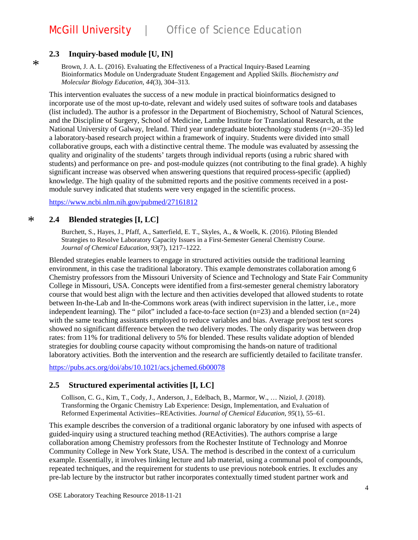### **2.3 Inquiry-based module [U, IN]**

 $\ast$ 

Brown, J. A. L. (2016). Evaluating the Effectiveness of a Practical Inquiry-Based Learning Bioinformatics Module on Undergraduate Student Engagement and Applied Skills. *Biochemistry and Molecular Biology Education*, *44*(3), 304–313.

This intervention evaluates the success of a new module in practical bioinformatics designed to incorporate use of the most up-to-date, relevant and widely used suites of software tools and databases (list included). The author is a professor in the Department of Biochemistry, School of Natural Sciences, and the Discipline of Surgery, School of Medicine, Lambe Institute for Translational Research, at the National University of Galway, Ireland. Third year undergraduate biotechnology students (*n=*20–35) led a laboratory-based research project within a framework of inquiry. Students were divided into small collaborative groups, each with a distinctive central theme. The module was evaluated by assessing the quality and originality of the students' targets through individual reports (using a rubric shared with students) and performance on pre- and post-module quizzes (not contributing to the final grade). A highly significant increase was observed when answering questions that required process-specific (applied) knowledge. The high quality of the submitted reports and the positive comments received in a postmodule survey indicated that students were very engaged in the scientific process.

<https://www.ncbi.nlm.nih.gov/pubmed/27161812>

#### **2.4 Blended strategies [I, LC]** \*

Burchett, S., Hayes, J., Pfaff, A., Satterfield, E. T., Skyles, A., & Woelk, K. (2016). Piloting Blended Strategies to Resolve Laboratory Capacity Issues in a First-Semester General Chemistry Course. *Journal of Chemical Education*, *93*(7), 1217–1222.

Blended strategies enable learners to engage in structured activities outside the traditional learning environment, in this case the traditional laboratory. This example demonstrates collaboration among 6 Chemistry professors from the Missouri University of Science and Technology and State Fair Community College in Missouri, USA. Concepts were identified from a first-semester general chemistry laboratory course that would best align with the lecture and then activities developed that allowed students to rotate between In-the-Lab and In-the-Commons work areas (with indirect supervision in the latter, i.e., more independent learning). The " pilot" included a face-to-face section  $(n=23)$  and a blended section  $(n=24)$ with the same teaching assistants employed to reduce variables and bias. Average pre/post test scores showed no significant difference between the two delivery modes. The only disparity was between drop rates: from 11% for traditional delivery to 5% for blended. These results validate adoption of blended strategies for doubling course capacity without compromising the hands-on nature of traditional laboratory activities. Both the intervention and the research are sufficiently detailed to facilitate transfer.

<https://pubs.acs.org/doi/abs/10.1021/acs.jchemed.6b00078>

### **2.5 Structured experimental activities [I, LC]**

Collison, C. G., Kim, T., Cody, J., Anderson, J., Edelbach, B., Marmor, W., … Niziol, J. (2018). Transforming the Organic Chemistry Lab Experience: Design, Implementation, and Evaluation of Reformed Experimental Activities--REActivities. *Journal of Chemical Education*, *95*(1), 55–61.

This example describes the conversion of a traditional organic laboratory by one infused with aspects of guided-inquiry using a structured teaching method (REActivities). The authors comprise a large collaboration among Chemistry professors from the Rochester Institute of Technology and Monroe Community College in New York State, USA. The method is described in the context of a curriculum example. Essentially, it involves linking lecture and lab material, using a communal pool of compounds, repeated techniques, and the requirement for students to use previous notebook entries. It excludes any pre-lab lecture by the instructor but rather incorporates contextually timed student partner work and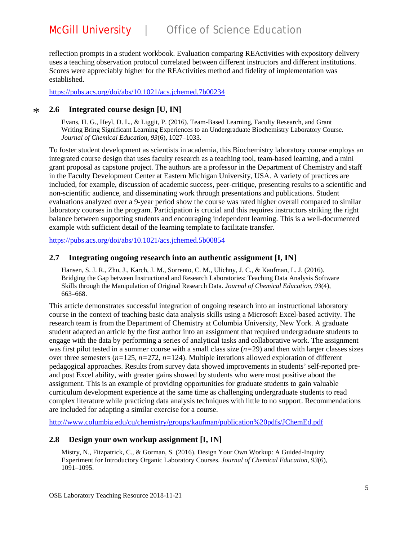reflection prompts in a student workbook. Evaluation comparing REActivities with expository delivery uses a teaching observation protocol correlated between different instructors and different institutions. Scores were appreciably higher for the REActivities method and fidelity of implementation was established.

<https://pubs.acs.org/doi/abs/10.1021/acs.jchemed.7b00234>

#### **2.6 Integrated course design [U, IN]** \*

Evans, H. G., Heyl, D. L., & Liggit, P. (2016). Team-Based Learning, Faculty Research, and Grant Writing Bring Significant Learning Experiences to an Undergraduate Biochemistry Laboratory Course. *Journal of Chemical Education*, *93*(6), 1027–1033.

To foster student development as scientists in academia, this Biochemistry laboratory course employs an integrated course design that uses faculty research as a teaching tool, team-based learning, and a mini grant proposal as capstone project. The authors are a professor in the Department of Chemistry and staff in the Faculty Development Center at Eastern Michigan University, USA. A variety of practices are included, for example, discussion of academic success, peer-critique, presenting results to a scientific and non-scientific audience, and disseminating work through presentations and publications. Student evaluations analyzed over a 9-year period show the course was rated higher overall compared to similar laboratory courses in the program. Participation is crucial and this requires instructors striking the right balance between supporting students and encouraging independent learning. This is a well-documented example with sufficient detail of the learning template to facilitate transfer.

<https://pubs.acs.org/doi/abs/10.1021/acs.jchemed.5b00854>

### **2.7 Integrating ongoing research into an authentic assignment [I, IN]**

Hansen, S. J. R., Zhu, J., Karch, J. M., Sorrento, C. M., Ulichny, J. C., & Kaufman, L. J. (2016). Bridging the Gap between Instructional and Research Laboratories: Teaching Data Analysis Software Skills through the Manipulation of Original Research Data. *Journal of Chemical Education*, *93*(4), 663–668.

This article demonstrates successful integration of ongoing research into an instructional laboratory course in the context of teaching basic data analysis skills using a Microsoft Excel-based activity. The research team is from the Department of Chemistry at Columbia University, New York. A graduate student adapted an article by the first author into an assignment that required undergraduate students to engage with the data by performing a series of analytical tasks and collaborative work. The assignment was first pilot tested in a summer course with a small class size (*n=*29) and then with larger classes sizes over three semesters (*n=*125, *n=*272, *n=*124). Multiple iterations allowed exploration of different pedagogical approaches. Results from survey data showed improvements in students' self-reported preand post Excel ability, with greater gains showed by students who were most positive about the assignment. This is an example of providing opportunities for graduate students to gain valuable curriculum development experience at the same time as challenging undergraduate students to read complex literature while practicing data analysis techniques with little to no support. Recommendations are included for adapting a similar exercise for a course.

<http://www.columbia.edu/cu/chemistry/groups/kaufman/publication%20pdfs/JChemEd.pdf>

### **2.8 Design your own workup assignment [I, IN]**

Mistry, N., Fitzpatrick, C., & Gorman, S. (2016). Design Your Own Workup: A Guided-Inquiry Experiment for Introductory Organic Laboratory Courses. *Journal of Chemical Education*, *93*(6), 1091–1095.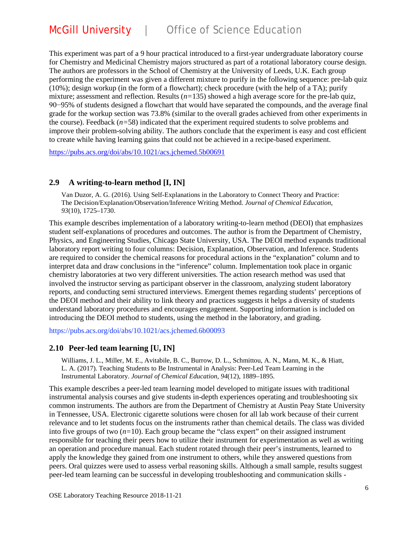This experiment was part of a 9 hour practical introduced to a first-year undergraduate laboratory course for Chemistry and Medicinal Chemistry majors structured as part of a rotational laboratory course design. The authors are professors in the School of Chemistry at the University of Leeds, U.K. Each group performing the experiment was given a different mixture to purify in the following sequence: pre-lab quiz (10%); design workup (in the form of a flowchart); check procedure (with the help of a TA); purify mixture; assessment and reflection. Results (*n=*135) showed a high average score for the pre-lab quiz, 90−95% of students designed a flowchart that would have separated the compounds, and the average final grade for the workup section was 73.8% (similar to the overall grades achieved from other experiments in the course). Feedback (*n=*58) indicated that the experiment required students to solve problems and improve their problem-solving ability. The authors conclude that the experiment is easy and cost efficient to create while having learning gains that could not be achieved in a recipe-based experiment.

<https://pubs.acs.org/doi/abs/10.1021/acs.jchemed.5b00691>

#### **2.9 A writing-to-learn method [I, IN]**

Van Duzor, A. G. (2016). Using Self-Explanations in the Laboratory to Connect Theory and Practice: The Decision/Explanation/Observation/Inference Writing Method. *Journal of Chemical Education*, *93*(10), 1725–1730.

This example describes implementation of a laboratory writing-to-learn method (DEOI) that emphasizes student self-explanations of procedures and outcomes. The author is from the Department of Chemistry, Physics, and Engineering Studies, Chicago State University, USA. The DEOI method expands traditional laboratory report writing to four columns: Decision, Explanation, Observation, and Inference. Students are required to consider the chemical reasons for procedural actions in the "explanation" column and to interpret data and draw conclusions in the "inference" column. Implementation took place in organic chemistry laboratories at two very different universities. The action research method was used that involved the instructor serving as participant observer in the classroom, analyzing student laboratory reports, and conducting semi structured interviews. Emergent themes regarding students' perceptions of the DEOI method and their ability to link theory and practices suggests it helps a diversity of students understand laboratory procedures and encourages engagement. Supporting information is included on introducing the DEOI method to students, using the method in the laboratory, and grading.

https://pubs.acs.org/doi/abs/10.1021/acs.jchemed.6b00093

#### **2.10 Peer-led team learning [U, IN]**

Williams, J. L., Miller, M. E., Avitabile, B. C., Burrow, D. L., Schmittou, A. N., Mann, M. K., & Hiatt, L. A. (2017). Teaching Students to Be Instrumental in Analysis: Peer-Led Team Learning in the Instrumental Laboratory. *Journal of Chemical Education*, *94*(12), 1889–1895.

This example describes a peer-led team learning model developed to mitigate issues with traditional instrumental analysis courses and give students in-depth experiences operating and troubleshooting six common instruments. The authors are from the Department of Chemistry at Austin Peay State University in Tennessee, USA. Electronic cigarette solutions were chosen for all lab work because of their current relevance and to let students focus on the instruments rather than chemical details. The class was divided into five groups of two (*n=*10). Each group became the "class expert" on their assigned instrument responsible for teaching their peers how to utilize their instrument for experimentation as well as writing an operation and procedure manual. Each student rotated through their peer's instruments, learned to apply the knowledge they gained from one instrument to others, while they answered questions from peers. Oral quizzes were used to assess verbal reasoning skills. Although a small sample, results suggest peer-led team learning can be successful in developing troubleshooting and communication skills -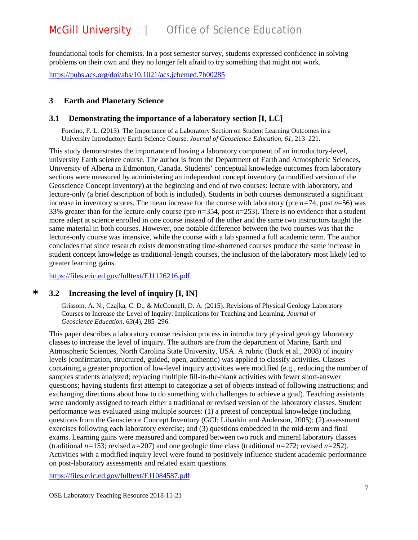foundational tools for chemists. In a post semester survey, students expressed confidence in solving problems on their own and they no longer felt afraid to try something that might not work.

<https://pubs.acs.org/doi/abs/10.1021/acs.jchemed.7b00285>

#### **3 Earth and Planetary Science**

#### **3.1 Demonstrating the importance of a laboratory section [I, LC]**

Forcino, F. L. (2013). The Importance of a Laboratory Section on Student Learning Outcomes in a University Introductory Earth Science Course. *Journal of Geoscience Education*, *61*, 213–221.

This study demonstrates the importance of having a laboratory component of an introductory-level, university Earth science course. The author is from the Department of Earth and Atmospheric Sciences, University of Alberta in Edmonton, Canada. Students' conceptual knowledge outcomes from laboratory sections were measured by administering an independent concept inventory (a modified version of the Geoscience Concept Inventory) at the beginning and end of two courses: lecture with laboratory, and lecture-only (a brief description of both is included). Students in both courses demonstrated a significant increase in inventory scores. The mean increase for the course with laboratory (pre *n=*74, post *n*=56) was 33% greater than for the lecture-only course (pre *n=*354, post *n*=253). There is no evidence that a student more adept at science enrolled in one course instead of the other and the same two instructors taught the same material in both courses. However, one notable difference between the two courses was that the lecture-only course was intensive, while the course with a lab spanned a full academic term. The author concludes that since research exists demonstrating time-shortened courses produce the same increase in student concept knowledge as traditional-length courses, the inclusion of the laboratory most likely led to greater learning gains.

<https://files.eric.ed.gov/fulltext/EJ1126216.pdf>

#### **3.2 Increasing the level of inquiry [I, IN]**  $\ast$

Grissom, A. N., Czajka, C. D., & McConnell, D. A. (2015). Revisions of Physical Geology Laboratory Courses to Increase the Level of Inquiry: Implications for Teaching and Learning. *Journal of Geoscience Education*, *63*(4), 285–296.

This paper describes a laboratory course revision process in introductory physical geology laboratory classes to increase the level of inquiry. The authors are from the department of Marine, Earth and Atmospheric Sciences, North Carolina State University, USA. A rubric (Buck et al., 2008) of inquiry levels (confirmation, structured, guided, open, authentic) was applied to classify activities. Classes containing a greater proportion of low-level inquiry activities were modified (e.g., reducing the number of samples students analyzed; replacing multiple fill-in-the-blank activities with fewer short-answer questions; having students first attempt to categorize a set of objects instead of following instructions; and exchanging directions about how to do something with challenges to achieve a goal). Teaching assistants were randomly assigned to teach either a traditional or revised version of the laboratory classes. Student performance was evaluated using multiple sources: (1) a pretest of conceptual knowledge (including questions from the Geoscience Concept Inventory (GCI; Libarkin and Anderson, 2005); (2) assessment exercises following each laboratory exercise; and (3) questions embedded in the mid-term and final exams. Learning gains were measured and compared between two rock and mineral laboratory classes (traditional  $n=153$ ; revised  $n=207$ ) and one geologic time class (traditional  $n=272$ ; revised  $n=252$ ). Activities with a modified inquiry level were found to positively influence student academic performance on post-laboratory assessments and related exam questions.

<https://files.eric.ed.gov/fulltext/EJ1084587.pdf>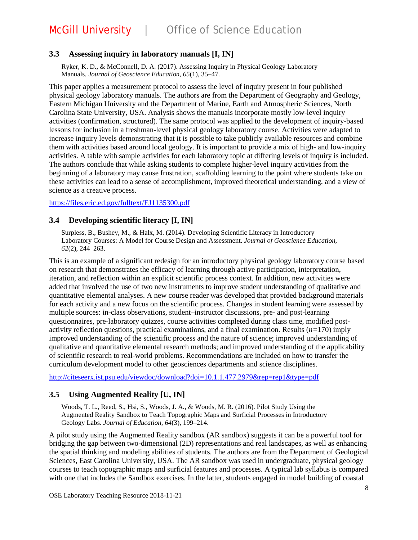### **3.3 Assessing inquiry in laboratory manuals [I, IN]**

Ryker, K. D., & McConnell, D. A. (2017). Assessing Inquiry in Physical Geology Laboratory Manuals. *Journal of Geoscience Education*, *65*(1), 35–47.

This paper applies a measurement protocol to assess the level of inquiry present in four published physical geology laboratory manuals. The authors are from the Department of Geography and Geology, Eastern Michigan University and the Department of Marine, Earth and Atmospheric Sciences, North Carolina State University, USA. Analysis shows the manuals incorporate mostly low-level inquiry activities (confirmation, structured). The same protocol was applied to the development of inquiry-based lessons for inclusion in a freshman-level physical geology laboratory course. Activities were adapted to increase inquiry levels demonstrating that it is possible to take publicly available resources and combine them with activities based around local geology. It is important to provide a mix of high- and low-inquiry activities. A table with sample activities for each laboratory topic at differing levels of inquiry is included. The authors conclude that while asking students to complete higher-level inquiry activities from the beginning of a laboratory may cause frustration, scaffolding learning to the point where students take on these activities can lead to a sense of accomplishment, improved theoretical understanding, and a view of science as a creative process.

<https://files.eric.ed.gov/fulltext/EJ1135300.pdf>

#### **3.4 Developing scientific literacy [I, IN]**

Surpless, B., Bushey, M., & Halx, M. (2014). Developing Scientific Literacy in Introductory Laboratory Courses: A Model for Course Design and Assessment. *Journal of Geoscience Education*, *62*(2), 244–263.

This is an example of a significant redesign for an introductory physical geology laboratory course based on research that demonstrates the efficacy of learning through active participation, interpretation, iteration, and reflection within an explicit scientific process context. In addition, new activities were added that involved the use of two new instruments to improve student understanding of qualitative and quantitative elemental analyses. A new course reader was developed that provided background materials for each activity and a new focus on the scientific process. Changes in student learning were assessed by multiple sources: in-class observations, student–instructor discussions, pre- and post-learning questionnaires, pre-laboratory quizzes, course activities completed during class time, modified postactivity reflection questions, practical examinations, and a final examination. Results (*n=*170) imply improved understanding of the scientific process and the nature of science; improved understanding of qualitative and quantitative elemental research methods; and improved understanding of the applicability of scientific research to real-world problems. Recommendations are included on how to transfer the curriculum development model to other geosciences departments and science disciplines.

<http://citeseerx.ist.psu.edu/viewdoc/download?doi=10.1.1.477.2979&rep=rep1&type=pdf>

#### **3.5 Using Augmented Reality [U, IN]**

Woods, T. L., Reed, S., Hsi, S., Woods, J. A., & Woods, M. R. (2016). Pilot Study Using the Augmented Reality Sandbox to Teach Topographic Maps and Surficial Processes in Introductory Geology Labs. *Journal of Education*, *64*(3), 199–214.

A pilot study using the Augmented Reality sandbox (AR sandbox) suggests it can be a powerful tool for bridging the gap between two-dimensional (2D) representations and real landscapes, as well as enhancing the spatial thinking and modeling abilities of students. The authors are from the Department of Geological Sciences, East Carolina University, USA. The AR sandbox was used in undergraduate, physical geology courses to teach topographic maps and surficial features and processes. A typical lab syllabus is compared with one that includes the Sandbox exercises. In the latter, students engaged in model building of coastal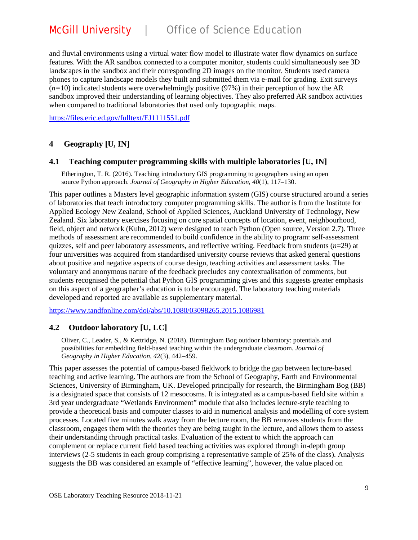# McGill University | Office of Science Education

and fluvial environments using a virtual water flow model to illustrate water flow dynamics on surface features. With the AR sandbox connected to a computer monitor, students could simultaneously see 3D landscapes in the sandbox and their corresponding 2D images on the monitor. Students used camera phones to capture landscape models they built and submitted them via e-mail for grading. Exit surveys (*n=*10) indicated students were overwhelmingly positive (97%) in their perception of how the AR sandbox improved their understanding of learning objectives. They also preferred AR sandbox activities when compared to traditional laboratories that used only topographic maps.

<https://files.eric.ed.gov/fulltext/EJ1111551.pdf>

#### **4 Geography [U, IN]**

#### **4.1 Teaching computer programming skills with multiple laboratories [U, IN]**

Etherington, T. R. (2016). Teaching introductory GIS programming to geographers using an open source Python approach. *Journal of Geography in Higher Education*, *40*(1), 117–130.

This paper outlines a Masters level geographic information system (GIS) course structured around a series of laboratories that teach introductory computer programming skills. The author is from the Institute for Applied Ecology New Zealand, School of Applied Sciences, Auckland University of Technology, New Zealand. Six laboratory exercises focusing on core spatial concepts of location, event, neighbourhood, field, object and network (Kuhn, 2012) were designed to teach Python (Open source, Version 2.7). Three methods of assessment are recommended to build confidence in the ability to program: self-assessment quizzes, self and peer laboratory assessments, and reflective writing. Feedback from students (*n*=29) at four universities was acquired from standardised university course reviews that asked general questions about positive and negative aspects of course design, teaching activities and assessment tasks. The voluntary and anonymous nature of the feedback precludes any contextualisation of comments, but students recognised the potential that Python GIS programming gives and this suggests greater emphasis on this aspect of a geographer's education is to be encouraged. The laboratory teaching materials developed and reported are available as supplementary material.

<https://www.tandfonline.com/doi/abs/10.1080/03098265.2015.1086981>

#### **4.2 Outdoor laboratory [U, LC]**

Oliver, C., Leader, S., & Kettridge, N. (2018). Birmingham Bog outdoor laboratory: potentials and possibilities for embedding field-based teaching within the undergraduate classroom. *Journal of Geography in Higher Education*, *42*(3), 442–459.

This paper assesses the potential of campus-based fieldwork to bridge the gap between lecture-based teaching and active learning. The authors are from the School of Geography, Earth and Environmental Sciences, University of Birmingham, UK. Developed principally for research, the Birmingham Bog (BB) is a designated space that consists of 12 mesocosms. It is integrated as a campus-based field site within a 3rd year undergraduate "Wetlands Environment" module that also includes lecture-style teaching to provide a theoretical basis and computer classes to aid in numerical analysis and modelling of core system processes. Located five minutes walk away from the lecture room, the BB removes students from the classroom, engages them with the theories they are being taught in the lecture, and allows them to assess their understanding through practical tasks. Evaluation of the extent to which the approach can complement or replace current field based teaching activities was explored through in-depth group interviews (2-5 students in each group comprising a representative sample of 25% of the class). Analysis suggests the BB was considered an example of "effective learning", however, the value placed on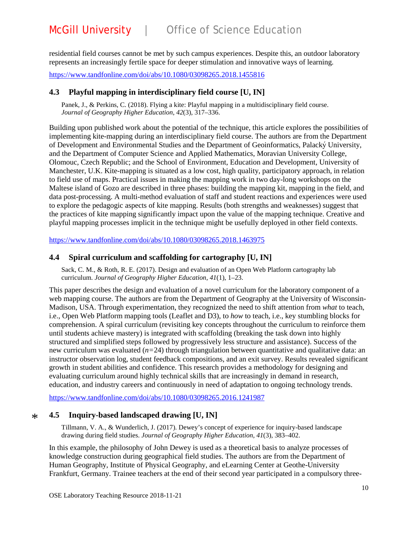residential field courses cannot be met by such campus experiences. Despite this, an outdoor laboratory represents an increasingly fertile space for deeper stimulation and innovative ways of learning.

<https://www.tandfonline.com/doi/abs/10.1080/03098265.2018.1455816>

#### **4.3 Playful mapping in interdisciplinary field course [U, IN]**

Panek, J., & Perkins, C. (2018). Flying a kite: Playful mapping in a multidisciplinary field course. *Journal of Geography Higher Education*, *42*(3), 317–336.

Building upon published work about the potential of the technique, this article explores the possibilities of implementing kite-mapping during an interdisciplinary field course. The authors are from the Department of Development and Environmental Studies and the Department of Geoinformatics, Palacký University, and the Department of Computer Science and Applied Mathematics, Moravian University College, Olomouc, Czech Republic; and the School of Environment, Education and Development, University of Manchester, U.K. Kite-mapping is situated as a low cost, high quality, participatory approach, in relation to field use of maps. Practical issues in making the mapping work in two day-long workshops on the Maltese island of Gozo are described in three phases: building the mapping kit, mapping in the field, and data post-processing. A multi-method evaluation of staff and student reactions and experiences were used to explore the pedagogic aspects of kite mapping. Results (both strengths and weaknesses) suggest that the practices of kite mapping significantly impact upon the value of the mapping technique. Creative and playful mapping processes implicit in the technique might be usefully deployed in other field contexts.

<https://www.tandfonline.com/doi/abs/10.1080/03098265.2018.1463975>

#### **4.4 Spiral curriculum and scaffolding for cartography [U, IN]**

Sack, C. M., & Roth, R. E. (2017). Design and evaluation of an Open Web Platform cartography lab curriculum. *Journal of Geography Higher Education*, *41*(1), 1–23.

This paper describes the design and evaluation of a novel curriculum for the laboratory component of a web mapping course. The authors are from the Department of Geography at the University of Wisconsin-Madison, USA. Through experimentation, they recognized the need to shift attention from *what* to teach, i.e., Open Web Platform mapping tools (Leaflet and D3), to *how* to teach*,* i.e., key stumbling blocks for comprehension. A spiral curriculum (revisiting key concepts throughout the curriculum to reinforce them until students achieve mastery) is integrated with scaffolding (breaking the task down into highly structured and simplified steps followed by progressively less structure and assistance). Success of the new curriculum was evaluated (*n=*24) through triangulation between quantitative and qualitative data: an instructor observation log, student feedback compositions, and an exit survey. Results revealed significant growth in student abilities and confidence. This research provides a methodology for designing and evaluating curriculum around highly technical skills that are increasingly in demand in research, education, and industry careers and continuously in need of adaptation to ongoing technology trends.

<https://www.tandfonline.com/doi/abs/10.1080/03098265.2016.1241987>

#### **4.5 Inquiry-based landscaped drawing [U, IN]** \*

Tillmann, V. A., & Wunderlich, J. (2017). Dewey's concept of experience for inquiry-based landscape drawing during field studies. *Journal of Geography Higher Education*, *41*(3), 383–402.

In this example, the philosophy of John Dewey is used as a theoretical basis to analyze processes of knowledge construction during geographical field studies. The authors are from the Department of Human Geography, Institute of Physical Geography, and eLearning Center at Geothe-University Frankfurt, Germany. Trainee teachers at the end of their second year participated in a compulsory three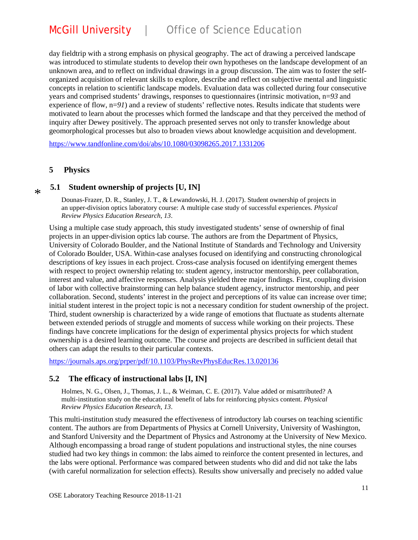day fieldtrip with a strong emphasis on physical geography. The act of drawing a perceived landscape was introduced to stimulate students to develop their own hypotheses on the landscape development of an unknown area, and to reflect on individual drawings in a group discussion. The aim was to foster the selforganized acquisition of relevant skills to explore, describe and reflect on subjective mental and linguistic concepts in relation to scientific landscape models. Evaluation data was collected during four consecutive years and comprised students' drawings, responses to questionnaires (intrinsic motivation, n=*93* and experience of flow,  $n=91$ ) and a review of students' reflective notes. Results indicate that students were motivated to learn about the processes which formed the landscape and that they perceived the method of inquiry after Dewey positively. The approach presented serves not only to transfer knowledge about geomorphological processes but also to broaden views about knowledge acquisition and development.

<https://www.tandfonline.com/doi/abs/10.1080/03098265.2017.1331206>

#### **5 Physics**

\*

#### **5.1 Student ownership of projects [U, IN]**

Dounas-Frazer, D. R., Stanley, J. T., & Lewandowski, H. J. (2017). Student ownership of projects in an upper-division optics laboratory course: A multiple case study of successful experiences. *Physical Review Physics Education Research*, *13*.

Using a multiple case study approach, this study investigated students' sense of ownership of final projects in an upper-division optics lab course. The authors are from the Department of Physics, University of Colorado Boulder, and the National Institute of Standards and Technology and University of Colorado Boulder, USA. Within-case analyses focused on identifying and constructing chronological descriptions of key issues in each project. Cross-case analysis focused on identifying emergent themes with respect to project ownership relating to: student agency, instructor mentorship, peer collaboration, interest and value, and affective responses. Analysis yielded three major findings. First, coupling division of labor with collective brainstorming can help balance student agency, instructor mentorship, and peer collaboration. Second, students' interest in the project and perceptions of its value can increase over time; initial student interest in the project topic is not a necessary condition for student ownership of the project. Third, student ownership is characterized by a wide range of emotions that fluctuate as students alternate between extended periods of struggle and moments of success while working on their projects. These findings have concrete implications for the design of experimental physics projects for which student ownership is a desired learning outcome. The course and projects are described in sufficient detail that others can adapt the results to their particular contexts.

<https://journals.aps.org/prper/pdf/10.1103/PhysRevPhysEducRes.13.020136>

#### **5.2 The efficacy of instructional labs [I, IN]**

Holmes, N. G., Olsen, J., Thomas, J. L., & Weiman, C. E. (2017). Value added or misattributed? A multi-institution study on the educational benefit of labs for reinforcing physics content. *Physical Review Physics Education Research*, *13*.

This multi-institution study measured the effectiveness of introductory lab courses on teaching scientific content. The authors are from Departments of Physics at Cornell University, University of Washington, and Stanford University and the Department of Physics and Astronomy at the University of New Mexico. Although encompassing a broad range of student populations and instructional styles, the nine courses studied had two key things in common: the labs aimed to reinforce the content presented in lectures, and the labs were optional. Performance was compared between students who did and did not take the labs (with careful normalization for selection effects). Results show universally and precisely no added value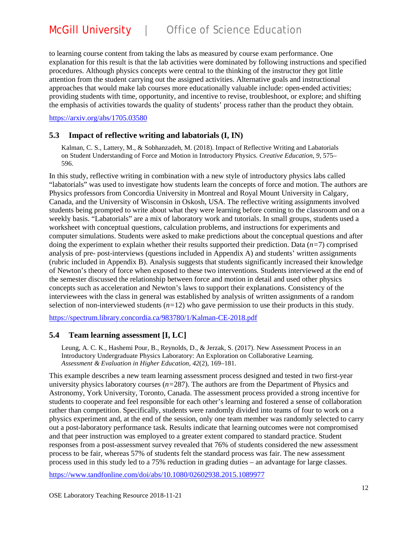to learning course content from taking the labs as measured by course exam performance. One explanation for this result is that the lab activities were dominated by following instructions and specified procedures. Although physics concepts were central to the thinking of the instructor they got little attention from the student carrying out the assigned activities. Alternative goals and instructional approaches that would make lab courses more educationally valuable include: open-ended activities; providing students with time, opportunity, and incentive to revise, troubleshoot, or explore; and shifting the emphasis of activities towards the quality of students' process rather than the product they obtain.

<https://arxiv.org/abs/1705.03580>

#### **5.3 Impact of reflective writing and labatorials (I, IN)**

Kalman, C. S., Lattery, M., & Sobhanzadeh, M. (2018). Impact of Reflective Writing and Labatorials on Student Understanding of Force and Motion in Introductory Physics. *Creative Education*, *9*, 575– 596.

In this study, reflective writing in combination with a new style of introductory physics labs called "labatorials" was used to investigate how students learn the concepts of force and motion. The authors are Physics professors from Concordia University in Montreal and Royal Mount University in Calgary, Canada, and the University of Wisconsin in Oskosh, USA. The reflective writing assignments involved students being prompted to write about what they were learning before coming to the classroom and on a weekly basis. "Labatorials" are a mix of laboratory work and tutorials. In small groups, students used a worksheet with conceptual questions, calculation problems, and instructions for experiments and computer simulations. Students were asked to make predictions about the conceptual questions and after doing the experiment to explain whether their results supported their prediction. Data (*n=*7) comprised analysis of pre- post-interviews (questions included in Appendix A) and students' written assignments (rubric included in Appendix B). Analysis suggests that students significantly increased their knowledge of Newton's theory of force when exposed to these two interventions. Students interviewed at the end of the semester discussed the relationship between force and motion in detail and used other physics concepts such as acceleration and Newton's laws to support their explanations. Consistency of the interviewees with the class in general was established by analysis of written assignments of a random selection of non-interviewed students (*n=*12) who gave permission to use their products in this study.

<https://spectrum.library.concordia.ca/983780/1/Kalman-CE-2018.pdf>

#### **5.4 Team learning assessment [I, LC]**

Leung, A. C. K., Hashemi Pour, B., Reynolds, D., & Jerzak, S. (2017). New Assessment Process in an Introductory Undergraduate Physics Laboratory: An Exploration on Collaborative Learning. *Assessment & Evaluation in Higher Education*, *42*(2), 169–181.

This example describes a new team learning assessment process designed and tested in two first-year university physics laboratory courses (*n=*287). The authors are from the Department of Physics and Astronomy, York University, Toronto, Canada. The assessment process provided a strong incentive for students to cooperate and feel responsible for each other's learning and fostered a sense of collaboration rather than competition. Specifically, students were randomly divided into teams of four to work on a physics experiment and, at the end of the session, only one team member was randomly selected to carry out a post-laboratory performance task. Results indicate that learning outcomes were not compromised and that peer instruction was employed to a greater extent compared to standard practice. Student responses from a post-assessment survey revealed that 76% of students considered the new assessment process to be fair, whereas 57% of students felt the standard process was fair. The new assessment process used in this study led to a 75% reduction in grading duties – an advantage for large classes.

<https://www.tandfonline.com/doi/abs/10.1080/02602938.2015.1089977>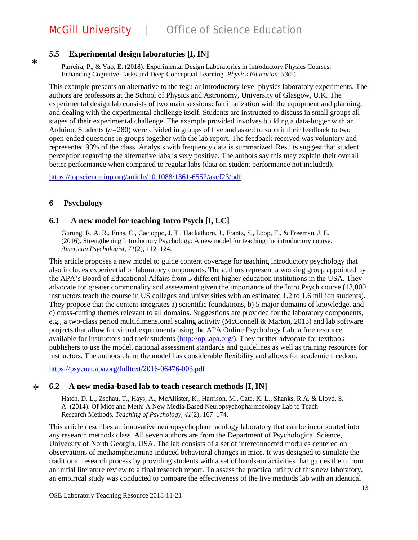#### **5.5 Experimental design laboratories [I, IN]**

Parreira, P., & Yao, E. (2018). Experimental Design Laboratories in Introductory Physics Courses: Enhancing Cognitive Tasks and Deep Conceptual Learning. *Physics Education*, *53*(5).

This example presents an alternative to the regular introductory level physics laboratory experiments. The authors are professors at the School of Physics and Astronomy, University of Glasgow, U.K. The experimental design lab consists of two main sessions: familiarization with the equipment and planning, and dealing with the experimental challenge itself. Students are instructed to discuss in small groups all stages of their experimental challenge. The example provided involves building a data-logger with an Arduino. Students (*n=*280) were divided in groups of five and asked to submit their feedback to two open-ended questions in groups together with the lab report. The feedback received was voluntary and represented 93% of the class. Analysis with frequency data is summarized. Results suggest that student perception regarding the alternative labs is very positive. The authors say this may explain their overall better performance when compared to regular labs (data on student performance not included).

<https://iopscience.iop.org/article/10.1088/1361-6552/aacf23/pdf>

#### **6 Psychology**

\*

#### **6.1 A new model for teaching Intro Psych [I, LC]**

Gurung, R. A. R., Enns, C., Cacioppo, J. T., Hackathorn, J., Frantz, S., Loop, T., & Freeman, J. E. (2016). Strengthening Introductory Psychology: A new model for teaching the introductory course. *American Psychologist*, *71*(2), 112–124.

This article proposes a new model to guide content coverage for teaching introductory psychology that also includes experiential or laboratory components. The authors represent a working group appointed by the APA's Board of Educational Affairs from 5 different higher education institutions in the USA. They advocate for greater commonality and assessment given the importance of the Intro Psych course (13,000 instructors teach the course in US colleges and universities with an estimated 1.2 to 1.6 million students). They propose that the content integrates a) scientific foundations, b) 5 major domains of knowledge, and c) cross-cutting themes relevant to all domains. Suggestions are provided for the laboratory components, e.g., a two-class period multidimensional scaling activity (McConnell & Marton, 2013) and lab software projects that allow for virtual experiments using the APA Online Psychology Lab, a free resource available for instructors and their students [\(http://opl.apa.org/\)](http://opl.apa.org/). They further advocate for textbook publishers to use the model, national assessment standards and guidelines as well as training resources for instructors. The authors claim the model has considerable flexibility and allows for academic freedom.

<https://psycnet.apa.org/fulltext/2016-06476-003.pdf>

#### **6.2 A new media-based lab to teach research methods [I, IN]**  $\ast$

Hatch, D. L., Zschau, T., Hays, A., McAllister, K., Harrison, M., Cate, K. L., Shanks, R.A. & Lloyd, S. A. (2014). Of Mice and Meth: A New Media-Based Neuropsychopharmacology Lab to Teach Research Methods. *Teaching of Psychology*, *41*(2), 167–174.

This article describes an innovative neuropsychopharmacology laboratory that can be incorporated into any research methods class. All seven authors are from the Department of Psychological Science, University of North Georgia, USA. The lab consists of a set of interconnected modules centered on observations of methamphetamine-induced behavioral changes in mice. It was designed to simulate the traditional research process by providing students with a set of hands-on activities that guides them from an initial literature review to a final research report. To assess the practical utility of this new laboratory, an empirical study was conducted to compare the effectiveness of the live methods lab with an identical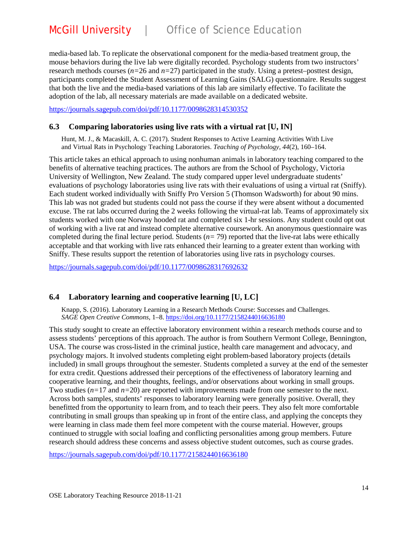media-based lab. To replicate the observational component for the media-based treatment group, the mouse behaviors during the live lab were digitally recorded. Psychology students from two instructors' research methods courses ( $n=26$  and  $n=27$ ) participated in the study. Using a pretest–posttest design, participants completed the Student Assessment of Learning Gains (SALG) questionnaire. Results suggest that both the live and the media-based variations of this lab are similarly effective. To facilitate the adoption of the lab, all necessary materials are made available on a dedicated website.

<https://journals.sagepub.com/doi/pdf/10.1177/0098628314530352>

#### **6.3 Comparing laboratories using live rats with a virtual rat [U, IN]**

Hunt, M. J., & Macaskill, A. C. (2017). Student Responses to Active Learning Activities With Live and Virtual Rats in Psychology Teaching Laboratories. *Teaching of Psychology*, *44*(2), 160–164.

This article takes an ethical approach to using nonhuman animals in laboratory teaching compared to the benefits of alternative teaching practices. The authors are from the School of Psychology, Victoria University of Wellington, New Zealand. The study compared upper level undergraduate students' evaluations of psychology laboratories using live rats with their evaluations of using a virtual rat (Sniffy). Each student worked individually with Sniffy Pro Version 5 (Thomson Wadsworth) for about 90 mins. This lab was not graded but students could not pass the course if they were absent without a documented excuse. The rat labs occurred during the 2 weeks following the virtual-rat lab. Teams of approximately six students worked with one Norway hooded rat and completed six 1-hr sessions. Any student could opt out of working with a live rat and instead complete alternative coursework. An anonymous questionnaire was completed during the final lecture period. Students (*n=* 79) reported that the live-rat labs were ethically acceptable and that working with live rats enhanced their learning to a greater extent than working with Sniffy. These results support the retention of laboratories using live rats in psychology courses.

<https://journals.sagepub.com/doi/pdf/10.1177/0098628317692632>

### **6.4 Laboratory learning and cooperative learning [U, LC]**

Knapp, S. (2016). Laboratory Learning in a Research Methods Course: Successes and Challenges. *SAGE Open Creative Commons*, 1–8.<https://doi.org/10.1177/2158244016636180>

This study sought to create an effective laboratory environment within a research methods course and to assess students' perceptions of this approach. The author is from Southern Vermont College, Bennington, USA. The course was cross-listed in the criminal justice, health care management and advocacy, and psychology majors. It involved students completing eight problem-based laboratory projects (details included) in small groups throughout the semester. Students completed a survey at the end of the semester for extra credit. Questions addressed their perceptions of the effectiveness of laboratory learning and cooperative learning, and their thoughts, feelings, and/or observations about working in small groups. Two studies (*n=*17 and *n=*20) are reported with improvements made from one semester to the next. Across both samples, students' responses to laboratory learning were generally positive. Overall, they benefitted from the opportunity to learn from, and to teach their peers. They also felt more comfortable contributing in small groups than speaking up in front of the entire class, and applying the concepts they were learning in class made them feel more competent with the course material. However, groups continued to struggle with social loafing and conflicting personalities among group members. Future research should address these concerns and assess objective student outcomes, such as course grades.

<https://journals.sagepub.com/doi/pdf/10.1177/2158244016636180>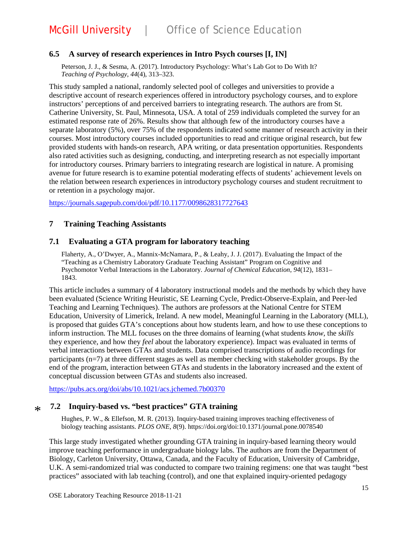#### **6.5 A survey of research experiences in Intro Psych courses [I, IN]**

Peterson, J. J., & Sesma, A. (2017). Introductory Psychology: What's Lab Got to Do With It? *Teaching of Psychology*, *44*(4), 313–323.

This study sampled a national, randomly selected pool of colleges and universities to provide a descriptive account of research experiences offered in introductory psychology courses, and to explore instructors' perceptions of and perceived barriers to integrating research. The authors are from St. Catherine University, St. Paul, Minnesota, USA. A total of 259 individuals completed the survey for an estimated response rate of 26%. Results show that although few of the introductory courses have a separate laboratory (5%), over 75% of the respondents indicated some manner of research activity in their courses. Most introductory courses included opportunities to read and critique original research, but few provided students with hands-on research, APA writing, or data presentation opportunities. Respondents also rated activities such as designing, conducting, and interpreting research as not especially important for introductory courses. Primary barriers to integrating research are logistical in nature. A promising avenue for future research is to examine potential moderating effects of students' achievement levels on the relation between research experiences in introductory psychology courses and student recruitment to or retention in a psychology major.

<https://journals.sagepub.com/doi/pdf/10.1177/0098628317727643>

#### **7 Training Teaching Assistants**

#### **7.1 Evaluating a GTA program for laboratory teaching**

Flaherty, A., O'Dwyer, A., Mannix-McNamara, P., & Leahy, J. J. (2017). Evaluating the Impact of the "Teaching as a Chemistry Laboratory Graduate Teaching Assistant" Program on Cognitive and Psychomotor Verbal Interactions in the Laboratory. *Journal of Chemical Education*, *94*(12), 1831– 1843.

This article includes a summary of 4 laboratory instructional models and the methods by which they have been evaluated (Science Writing Heuristic, SE Learning Cycle, Predict-Observe-Explain, and Peer-led Teaching and Learning Techniques). The authors are professors at the National Centre for STEM Education, University of Limerick, Ireland. A new model, Meaningful Learning in the Laboratory (MLL), is proposed that guides GTA's conceptions about how students learn, and how to use these conceptions to inform instruction. The MLL focuses on the three domains of learning (what students *know*, the *skills* they experience, and how they *feel* about the laboratory experience). Impact was evaluated in terms of verbal interactions between GTAs and students. Data comprised transcriptions of audio recordings for participants (n=7) at three different stages as well as member checking with stakeholder groups. By the end of the program, interaction between GTAs and students in the laboratory increased and the extent of conceptual discussion between GTAs and students also increased.

<https://pubs.acs.org/doi/abs/10.1021/acs.jchemed.7b00370>

#### **7.2 Inquiry-based vs. "best practices" GTA training**  $\ast$

Hughes, P. W., & Ellefson, M. R. (2013). Inquiry-based training improves teaching effectiveness of biology teaching assistants. *PLOS ONE*, *8*(9). https://doi.org/doi:10.1371/journal.pone.0078540

This large study investigated whether grounding GTA training in inquiry-based learning theory would improve teaching performance in undergraduate biology labs. The authors are from the Department of Biology, Carleton University, Ottawa, Canada, and the Faculty of Education, University of Cambridge, U.K. A semi-randomized trial was conducted to compare two training regimens: one that was taught "best practices" associated with lab teaching (control), and one that explained inquiry-oriented pedagogy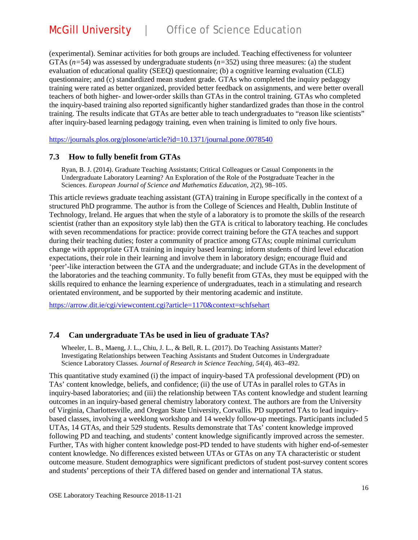(experimental). Seminar activities for both groups are included. Teaching effectiveness for volunteer GTAs  $(n=54)$  was assessed by undergraduate students  $(n=352)$  using three measures: (a) the student evaluation of educational quality (SEEQ) questionnaire; (b) a cognitive learning evaluation (CLE) questionnaire; and (c) standardized mean student grade. GTAs who completed the inquiry pedagogy training were rated as better organized, provided better feedback on assignments, and were better overall teachers of both higher- and lower-order skills than GTAs in the control training. GTAs who completed the inquiry-based training also reported significantly higher standardized grades than those in the control training. The results indicate that GTAs are better able to teach undergraduates to "reason like scientists" after inquiry-based learning pedagogy training, even when training is limited to only five hours.

<https://journals.plos.org/plosone/article?id=10.1371/journal.pone.0078540>

### **7.3 How to fully benefit from GTAs**

Ryan, B. J. (2014). Graduate Teaching Assistants; Critical Colleagues or Casual Components in the Undergraduate Laboratory Learning? An Exploration of the Role of the Postgraduate Teacher in the Sciences. *European Journal of Science and Mathematics Education*, *2*(2), 98–105.

This article reviews graduate teaching assistant (GTA) training in Europe specifically in the context of a structured PhD programme. The author is from the College of Sciences and Health, Dublin Institute of Technology, Ireland. He argues that when the style of a laboratory is to promote the skills of the research scientist (rather than an expository style lab) then the GTA is critical to laboratory teaching. He concludes with seven recommendations for practice: provide correct training before the GTA teaches and support during their teaching duties; foster a community of practice among GTAs; couple minimal curriculum change with appropriate GTA training in inquiry based learning; inform students of third level education expectations, their role in their learning and involve them in laboratory design; encourage fluid and 'peer'-like interaction between the GTA and the undergraduate; and include GTAs in the development of the laboratories and the teaching community. To fully benefit from GTAs, they must be equipped with the skills required to enhance the learning experience of undergraduates, teach in a stimulating and research orientated environment, and be supported by their mentoring academic and institute.

<https://arrow.dit.ie/cgi/viewcontent.cgi?article=1170&context=schfsehart>

### **7.4 Can undergraduate TAs be used in lieu of graduate TAs?**

Wheeler, L. B., Maeng, J. L., Chiu, J. L., & Bell, R. L. (2017). Do Teaching Assistants Matter? Investigating Relationships between Teaching Assistants and Student Outcomes in Undergraduate Science Laboratory Classes. *Journal of Research in Science Teaching*, *54*(4), 463–492.

This quantitative study examined (i) the impact of inquiry-based TA professional development (PD) on TAs' content knowledge, beliefs, and confidence; (ii) the use of UTAs in parallel roles to GTAs in inquiry-based laboratories; and (iii) the relationship between TAs content knowledge and student learning outcomes in an inquiry-based general chemistry laboratory context. The authors are from the University of Virginia, Charlottesville, and Oregan State University, Corvallis. PD supported TAs to lead inquirybased classes, involving a weeklong workshop and 14 weekly follow-up meetings. Participants included 5 UTAs, 14 GTAs, and their 529 students. Results demonstrate that TAs' content knowledge improved following PD and teaching, and students' content knowledge significantly improved across the semester. Further, TAs with higher content knowledge post-PD tended to have students with higher end-of-semester content knowledge. No differences existed between UTAs or GTAs on any TA characteristic or student outcome measure. Student demographics were significant predictors of student post-survey content scores and students' perceptions of their TA differed based on gender and international TA status.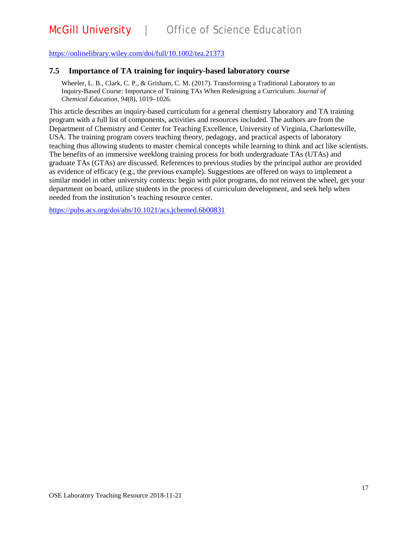#### <https://onlinelibrary.wiley.com/doi/full/10.1002/tea.21373>

#### **7.5 Importance of TA training for inquiry-based laboratory course**

Wheeler, L. B., Clark, C. P., & Grisham, C. M. (2017). Transforming a Traditional Laboratory to an Inquiry-Based Course: Importance of Training TAs When Redesigning a Curriculum. *Journal of Chemical Education*, *94*(8), 1019–1026.

This article describes an inquiry-based curriculum for a general chemistry laboratory and TA training program with a full list of components, activities and resources included. The authors are from the Department of Chemistry and Center for Teaching Excellence, University of Virginia, Charlottesville, USA. The training program covers teaching theory, pedagogy, and practical aspects of laboratory teaching thus allowing students to master chemical concepts while learning to think and act like scientists. The benefits of an immersive weeklong training process for both undergraduate TAs (UTAs) and graduate TAs (GTAs) are discussed. References to previous studies by the principal author are provided as evidence of efficacy (e.g., the previous example). Suggestions are offered on ways to implement a similar model in other university contexts: begin with pilot programs, do not reinvent the wheel, get your department on board, utilize students in the process of curriculum development, and seek help when needed from the institution's teaching resource center.

<https://pubs.acs.org/doi/abs/10.1021/acs.jchemed.6b00831>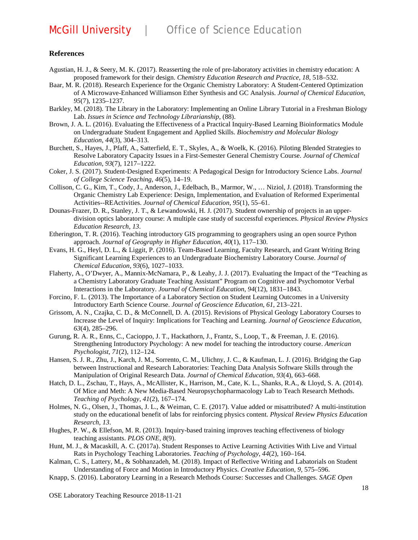#### **References**

- Agustian, H. J., & Seery, M. K. (2017). Reasserting the role of pre-laboratory activities in chemistry education: A proposed framework for their design. *Chemistry Education Research and Practice*, *18*, 518–532.
- Baar, M. R. (2018). Research Experience for the Organic Chemistry Laboratory: A Student-Centered Optimization of A Microwave-Enhanced Williamson Ether Synthesis and GC Analysis. *Journal of Chemical Education*, *95*(7), 1235–1237.
- Barkley, M. (2018). The Library in the Laboratory: Implementing an Online Library Tutorial in a Freshman Biology Lab. *Issues in Science and Technology Librarianship*, (88).
- Brown, J. A. L. (2016). Evaluating the Effectiveness of a Practical Inquiry-Based Learning Bioinformatics Module on Undergraduate Student Engagement and Applied Skills. *Biochemistry and Molecular Biology Education*, *44*(3), 304–313.
- Burchett, S., Hayes, J., Pfaff, A., Satterfield, E. T., Skyles, A., & Woelk, K. (2016). Piloting Blended Strategies to Resolve Laboratory Capacity Issues in a First-Semester General Chemistry Course. *Journal of Chemical Education*, *93*(7), 1217–1222.
- Coker, J. S. (2017). Student-Designed Experiments: A Pedagogical Design for Introductory Science Labs. *Journal of College Science Teaching*, *46*(5), 14–19.
- Collison, C. G., Kim, T., Cody, J., Anderson, J., Edelbach, B., Marmor, W., … Niziol, J. (2018). Transforming the Organic Chemistry Lab Experience: Design, Implementation, and Evaluation of Reformed Experimental Activities--REActivities. *Journal of Chemical Education*, *95*(1), 55–61.
- Dounas-Frazer, D. R., Stanley, J. T., & Lewandowski, H. J. (2017). Student ownership of projects in an upperdivision optics laboratory course: A multiple case study of successful experiences. *Physical Review Physics Education Research*, *13*.
- Etherington, T. R. (2016). Teaching introductory GIS programming to geographers using an open source Python approach. *Journal of Geography in Higher Education*, *40*(1), 117–130.
- Evans, H. G., Heyl, D. L., & Liggit, P. (2016). Team-Based Learning, Faculty Research, and Grant Writing Bring Significant Learning Experiences to an Undergraduate Biochemistry Laboratory Course. *Journal of Chemical Education*, *93*(6), 1027–1033.
- Flaherty, A., O'Dwyer, A., Mannix-McNamara, P., & Leahy, J. J. (2017). Evaluating the Impact of the "Teaching as a Chemistry Laboratory Graduate Teaching Assistant" Program on Cognitive and Psychomotor Verbal Interactions in the Laboratory. *Journal of Chemical Education*, *94*(12), 1831–1843.
- Forcino, F. L. (2013). The Importance of a Laboratory Section on Student Learning Outcomes in a University Introductory Earth Science Course. *Journal of Geoscience Education*, *61*, 213–221.
- Grissom, A. N., Czajka, C. D., & McConnell, D. A. (2015). Revisions of Physical Geology Laboratory Courses to Increase the Level of Inquiry: Implications for Teaching and Learning. *Journal of Geoscience Education*, *63*(4), 285–296.
- Gurung, R. A. R., Enns, C., Cacioppo, J. T., Hackathorn, J., Frantz, S., Loop, T., & Freeman, J. E. (2016). Strengthening Introductory Psychology: A new model for teaching the introductory course. *American Psychologist*, *71*(2), 112–124.
- Hansen, S. J. R., Zhu, J., Karch, J. M., Sorrento, C. M., Ulichny, J. C., & Kaufman, L. J. (2016). Bridging the Gap between Instructional and Research Laboratories: Teaching Data Analysis Software Skills through the Manipulation of Original Research Data. *Journal of Chemical Education*, *93*(4), 663–668.
- Hatch, D. L., Zschau, T., Hays, A., McAllister, K., Harrison, M., Cate, K. L., Shanks, R.A., & Lloyd, S. A. (2014). Of Mice and Meth: A New Media-Based Neuropsychopharmacology Lab to Teach Research Methods. *Teaching of Psychology*, *41*(2), 167–174.
- Holmes, N. G., Olsen, J., Thomas, J. L., & Weiman, C. E. (2017). Value added or misattributed? A multi-institution study on the educational benefit of labs for reinforcing physics content. *Physical Review Physics Education Research*, *13*.
- Hughes, P. W., & Ellefson, M. R. (2013). Inquiry-based training improves teaching effectiveness of biology teaching assistants. *PLOS ONE*, *8*(9).
- Hunt, M. J., & Macaskill, A. C. (2017a). Student Responses to Active Learning Activities With Live and Virtual Rats in Psychology Teaching Laboratories. *Teaching of Psychology*, *44*(2), 160–164.
- Kalman, C. S., Lattery, M., & Sobhanzadeh, M. (2018). Impact of Reflective Writing and Labatorials on Student Understanding of Force and Motion in Introductory Physics. *Creative Education*, *9*, 575–596.
- Knapp, S. (2016). Laboratory Learning in a Research Methods Course: Successes and Challenges. *SAGE Open*

OSE Laboratory Teaching Resource 2018-11-21